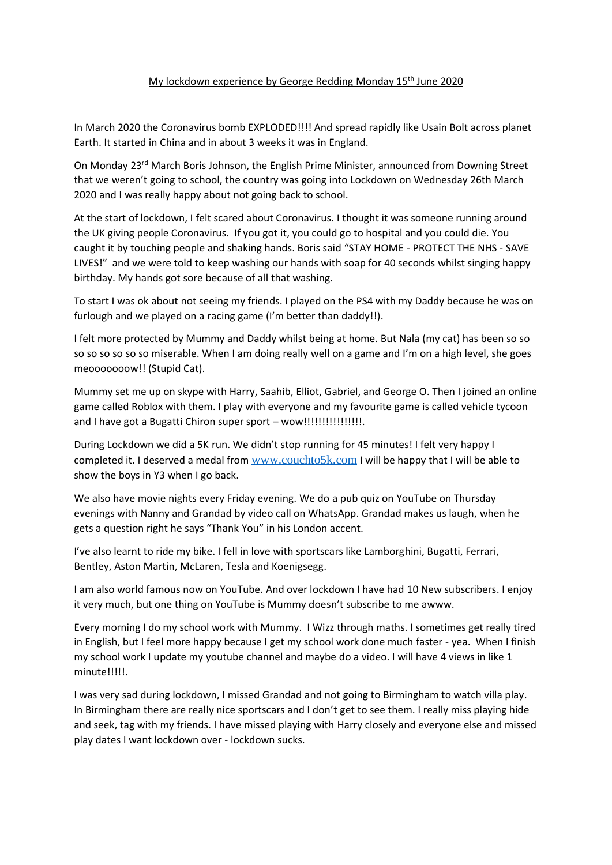## My lockdown experience by George Redding Monday 15<sup>th</sup> June 2020

In March 2020 the Coronavirus bomb EXPLODED!!!! And spread rapidly like Usain Bolt across planet Earth. It started in China and in about 3 weeks it was in England.

On Monday 23rd March Boris Johnson, the English Prime Minister, announced from Downing Street that we weren't going to school, the country was going into Lockdown on Wednesday 26th March 2020 and I was really happy about not going back to school.

At the start of lockdown, I felt scared about Coronavirus. I thought it was someone running around the UK giving people Coronavirus. If you got it, you could go to hospital and you could die. You caught it by touching people and shaking hands. Boris said "STAY HOME - PROTECT THE NHS - SAVE LIVES!" and we were told to keep washing our hands with soap for 40 seconds whilst singing happy birthday. My hands got sore because of all that washing.

To start I was ok about not seeing my friends. I played on the PS4 with my Daddy because he was on furlough and we played on a racing game (I'm better than daddy!!).

I felt more protected by Mummy and Daddy whilst being at home. But Nala (my cat) has been so so so so so so so so miserable. When I am doing really well on a game and I'm on a high level, she goes meooooooow!! (Stupid Cat).

Mummy set me up on skype with Harry, Saahib, Elliot, Gabriel, and George O. Then I joined an online game called Roblox with them. I play with everyone and my favourite game is called vehicle tycoon and I have got a Bugatti Chiron super sport – wow!!!!!!!!!!!!!!!!.

During Lockdown we did a 5K run. We didn't stop running for 45 minutes! I felt very happy I completed it. I deserved a medal from [www.couchto5k.com](http://www.couchto5k.com/) I will be happy that I will be able to show the boys in Y3 when I go back.

We also have movie nights every Friday evening. We do a pub quiz on YouTube on Thursday evenings with Nanny and Grandad by video call on WhatsApp. Grandad makes us laugh, when he gets a question right he says "Thank You" in his London accent.

I've also learnt to ride my bike. I fell in love with sportscars like Lamborghini, Bugatti, Ferrari, Bentley, Aston Martin, McLaren, Tesla and Koenigsegg.

I am also world famous now on YouTube. And over lockdown I have had 10 New subscribers. I enjoy it very much, but one thing on YouTube is Mummy doesn't subscribe to me awww.

Every morning I do my school work with Mummy. I Wizz through maths. I sometimes get really tired in English, but I feel more happy because I get my school work done much faster - yea. When I finish my school work I update my youtube channel and maybe do a video. I will have 4 views in like 1 minute!!!!!.

I was very sad during lockdown, I missed Grandad and not going to Birmingham to watch villa play. In Birmingham there are really nice sportscars and I don't get to see them. I really miss playing hide and seek, tag with my friends. I have missed playing with Harry closely and everyone else and missed play dates I want lockdown over - lockdown sucks.